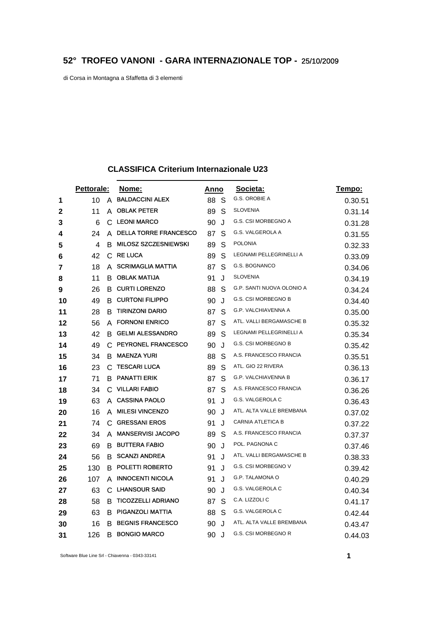## **52° TROFEO VANONI - GARA INTERNAZIONALE TOP -** 25/10/2009

di Corsa in Montagna a Sfaffetta di 3 elementi

## **CLASSIFICA Criterium Internazionale U23**

|             | Pettorale: |    | Nome:                        |    | Anno | Societa:                   | <u>Tempo:</u> |
|-------------|------------|----|------------------------------|----|------|----------------------------|---------------|
| 1           | 10         | A  | <b>BALDACCINI ALEX</b>       | 88 | - S  | G.S. OROBIE A              | 0.30.51       |
| $\mathbf 2$ | 11         |    | A <b>OBLAK PETER</b>         | 89 | S    | <b>SLOVENIA</b>            | 0.31.14       |
| 3           | 6          | С  | <b>LEONI MARCO</b>           | 90 | J    | G.S. CSI MORBEGNO A        | 0.31.28       |
| 4           | 24         | A  | <b>DELLA TORRE FRANCESCO</b> | 87 | S    | G.S. VALGEROLA A           | 0.31.55       |
| 5           | 4          | В  | <b>MILOSZ SZCZESNIEWSKI</b>  | 89 | S    | <b>POLONIA</b>             | 0.32.33       |
| 6           | 42         | C  | <b>RE LUCA</b>               | 89 | S    | LEGNAMI PELLEGRINELLI A    | 0.33.09       |
| 7           | 18         | A  | <b>SCRIMAGLIA MATTIA</b>     | 87 | S    | G.S. BOGNANCO              | 0.34.06       |
| 8           | 11         | В  | <b>OBLAK MATIJA</b>          | 91 | J    | <b>SLOVENIA</b>            | 0.34.19       |
| 9           | 26         | B  | <b>CURTI LORENZO</b>         | 88 | S    | G.P. SANTI NUOVA OLONIO A  | 0.34.24       |
| 10          | 49         | В  | <b>CURTONI FILIPPO</b>       | 90 | J    | <b>G.S. CSI MORBEGNO B</b> | 0.34.40       |
| 11          | 28         | B  | <b>TIRINZONI DARIO</b>       | 87 | S    | <b>G.P. VALCHIAVENNA A</b> | 0.35.00       |
| 12          | 56         | A  | <b>FORNONI ENRICO</b>        | 87 | S    | ATL. VALLI BERGAMASCHE B   | 0.35.32       |
| 13          | 42         | B. | <b>GELMI ALESSANDRO</b>      | 89 | S    | LEGNAMI PELLEGRINELLI A    | 0.35.34       |
| 14          | 49         |    | C PEYRONEL FRANCESCO         | 90 | J    | <b>G.S. CSI MORBEGNO B</b> | 0.35.42       |
| 15          | 34         | В  | <b>MAENZA YURI</b>           | 88 | S    | A.S. FRANCESCO FRANCIA     | 0.35.51       |
| 16          | 23         | С  | <b>TESCARI LUCA</b>          | 89 | S    | ATL. GIO 22 RIVERA         | 0.36.13       |
| 17          | 71         | В  | <b>PANATTI ERIK</b>          | 87 | S    | G.P. VALCHIAVENNA B        | 0.36.17       |
| 18          | 34         | C  | <b>VILLARI FABIO</b>         | 87 | S    | A.S. FRANCESCO FRANCIA     | 0.36.26       |
| 19          | 63         |    | A CASSINA PAOLO              | 91 | J    | G.S. VALGEROLA C           | 0.36.43       |
| 20          | 16         | A  | <b>MILESI VINCENZO</b>       | 90 | J    | ATL. ALTA VALLE BREMBANA   | 0.37.02       |
| 21          | 74         | С  | <b>GRESSANI EROS</b>         | 91 | J    | CARNIA ATLETICA B          | 0.37.22       |
| 22          | 34         | A  | MANSERVISI JACOPO            | 89 | S    | A.S. FRANCESCO FRANCIA     | 0.37.37       |
| 23          | 69         | B  | <b>BUTTERA FABIO</b>         | 90 | J    | POL. PAGNONA C             | 0.37.46       |
| 24          | 56         | B  | <b>SCANZI ANDREA</b>         | 91 | J    | ATL. VALLI BERGAMASCHE B   | 0.38.33       |
| 25          | 130        | B  | <b>POLETTI ROBERTO</b>       | 91 | J    | G.S. CSI MORBEGNO V        | 0.39.42       |
| 26          | 107        | A  | <b>INNOCENTI NICOLA</b>      | 91 | J    | G.P. TALAMONA O            | 0.40.29       |
| 27          | 63         | C  | <b>LHANSOUR SAID</b>         | 90 | J    | G.S. VALGEROLA C           | 0.40.34       |
| 28          | 58         | B  | <b>TICOZZELLI ADRIANO</b>    | 87 | S    | C.A. LIZZOLI C             | 0.41.17       |
| 29          | 63         | В  | PIGANZOLI MATTIA             | 88 | S    | G.S. VALGEROLA C           | 0.42.44       |
| 30          | 16         | В  | <b>BEGNIS FRANCESCO</b>      | 90 | J    | ATL. ALTA VALLE BREMBANA   | 0.43.47       |
| 31          | 126        | B  | <b>BONGIO MARCO</b>          | 90 | J    | <b>G.S. CSI MORBEGNO R</b> | 0.44.03       |